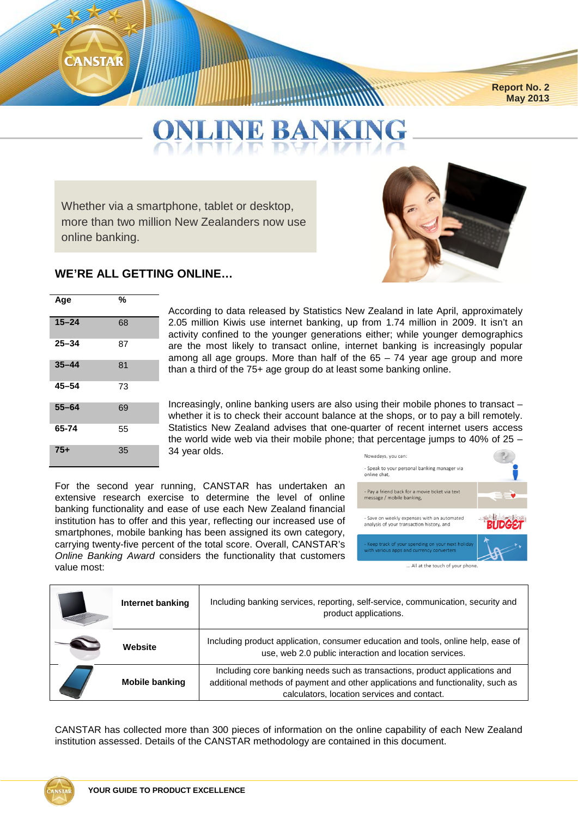# **CANSTAR**

 **Report No. 2 May 2013**

# **L BANK**

Whether via a smartphone, tablet or desktop, more than two million New Zealanders now use online banking.



#### **WE'RE ALL GETTING ONLINE…**

| Age       | %  |
|-----------|----|
| $15 - 24$ | 68 |
| $25 - 34$ | 87 |
| $35 - 44$ | 81 |
| $45 - 54$ | 73 |
| $55 - 64$ | 69 |
| 65-74     | 55 |
| $75+$     | 35 |

According to data released by Statistics New Zealand in late April, approximately 2.05 million Kiwis use internet banking, up from 1.74 million in 2009. It isn't an activity confined to the younger generations either; while younger demographics are the most likely to transact online, internet banking is increasingly popular among all age groups. More than half of the 65 – 74 year age group and more than a third of the 75+ age group do at least some banking online.

Increasingly, online banking users are also using their mobile phones to transact – whether it is to check their account balance at the shops, or to pay a bill remotely. Statistics New Zealand advises that one-quarter of recent internet users access the world wide web via their mobile phone; that percentage jumps to 40% of 25 – 34 year olds.

For the second year running, CANSTAR has undertaken an extensive research exercise to determine the level of online banking functionality and ease of use each New Zealand financial institution has to offer and this year, reflecting our increased use of smartphones, mobile banking has been assigned its own category, carrying twenty-five percent of the total score. Overall, CANSTAR's *Online Banking Award* considers the functionality that customers value most:



| Internet banking      | Including banking services, reporting, self-service, communication, security and<br>product applications.                                                                                                     |
|-----------------------|---------------------------------------------------------------------------------------------------------------------------------------------------------------------------------------------------------------|
| Website               | Including product application, consumer education and tools, online help, ease of<br>use, web 2.0 public interaction and location services.                                                                   |
| <b>Mobile banking</b> | Including core banking needs such as transactions, product applications and<br>additional methods of payment and other applications and functionality, such as<br>calculators, location services and contact. |

CANSTAR has collected more than 300 pieces of information on the online capability of each New Zealand institution assessed. Details of the CANSTAR methodology are contained in this document.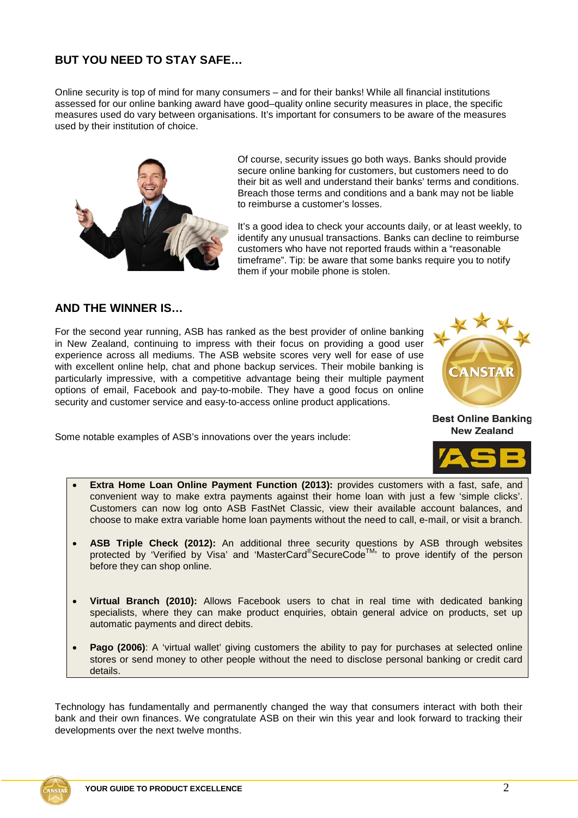#### **BUT YOU NEED TO STAY SAFE…**

Online security is top of mind for many consumers – and for their banks! While all financial institutions assessed for our online banking award have good–quality online security measures in place, the specific measures used do vary between organisations. It's important for consumers to be aware of the measures used by their institution of choice.



Of course, security issues go both ways. Banks should provide secure online banking for customers, but customers need to do their bit as well and understand their banks' terms and conditions. Breach those terms and conditions and a bank may not be liable to reimburse a customer's losses.

It's a good idea to check your accounts daily, or at least weekly, to identify any unusual transactions. Banks can decline to reimburse customers who have not reported frauds within a "reasonable timeframe". Tip: be aware that some banks require you to notify them if your mobile phone is stolen.

## **AND THE WINNER IS…**

For the second year running, ASB has ranked as the best provider of online banking in New Zealand, continuing to impress with their focus on providing a good user experience across all mediums. The ASB website scores very well for ease of use with excellent online help, chat and phone backup services. Their mobile banking is particularly impressive, with a competitive advantage being their multiple payment options of email, Facebook and pay-to-mobile. They have a good focus on online security and customer service and easy-to-access online product applications.



**Best Online Banking New Zealand** 

Some notable examples of ASB's innovations over the years include:



- **Extra Home Loan Online Payment Function (2013):** provides customers with a fast, safe, and convenient way to make extra payments against their home loan with just a few 'simple clicks'. Customers can now log onto ASB FastNet Classic, view their available account balances, and choose to make extra variable home loan payments without the need to call, e-mail, or visit a branch.
- **ASB Triple Check (2012):** An additional three security questions by ASB through websites protected by 'Verified by Visa' and 'MasterCard®SecureCode<sup>™</sup>, to prove identify of the person before they can shop online.
- **Virtual Branch (2010):** Allows Facebook users to chat in real time with dedicated banking specialists, where they can make product enquiries, obtain general advice on products, set up automatic payments and direct debits.
- **Pago (2006)**: A 'virtual wallet' giving customers the ability to pay for purchases at selected online stores or send money to other people without the need to disclose personal banking or credit card details.

Technology has fundamentally and permanently changed the way that consumers interact with both their bank and their own finances. We congratulate ASB on their win this year and look forward to tracking their developments over the next twelve months.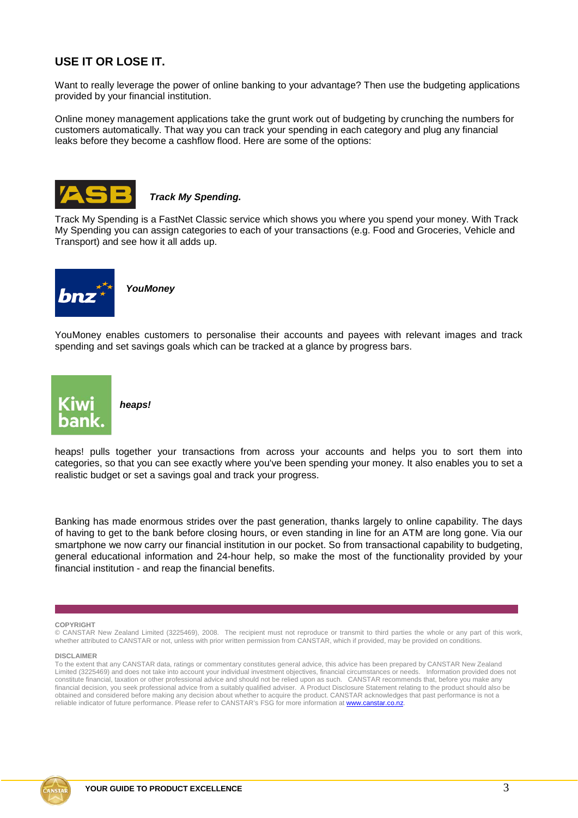### **USE IT OR LOSE IT.**

Want to really leverage the power of online banking to your advantage? Then use the budgeting applications provided by your financial institution.

Online money management applications take the grunt work out of budgeting by crunching the numbers for customers automatically. That way you can track your spending in each category and plug any financial leaks before they become a cashflow flood. Here are some of the options:



*Track My Spending.*

Track My Spending is a FastNet Classic service which shows you where you spend your money. With Track My Spending you can assign categories to each of your transactions (e.g. Food and Groceries, Vehicle and Transport) and see how it all adds up.



*YouMoney*

YouMoney enables customers to personalise their accounts and payees with relevant images and track spending and set savings goals which can be tracked at a glance by progress bars.



*heaps!*

heaps! pulls together your transactions from across your accounts and helps you to sort them into categories, so that you can see exactly where you've been spending your money. It also enables you to set a realistic budget or set a savings goal and track your progress.

Banking has made enormous strides over the past generation, thanks largely to online capability. The days of having to get to the bank before closing hours, or even standing in line for an ATM are long gone. Via our smartphone we now carry our financial institution in our pocket. So from transactional capability to budgeting, general educational information and 24-hour help, so make the most of the functionality provided by your financial institution - and reap the financial benefits.

#### **COPYRIGHT**

© CANSTAR New Zealand Limited (3225469), 2008. The recipient must not reproduce or transmit to third parties the whole or any part of this work, whether attributed to CANSTAR or not, unless with prior written permission from CANSTAR, which if provided, may be provided on conditions.

#### **DISCLAIMER**

To the extent that any CANSTAR data, ratings or commentary constitutes general advice, this advice has been prepared by CANSTAR New Zealand Limited (3225469) and does not take into account your individual investment objectives, financial circumstances or needs. Information provided does not constitute financial, taxation or other professional advice and should not be relied upon as such. CANSTAR recommends that, before you make any financial decision, you seek professional advice from a suitably qualified adviser. A Product Disclosure Statement relating to the product should also be obtained and considered before making any decision about whether to acquire the product. CANSTAR acknowledges that past performance is not a reliable indicator of future performance. Please refer to CANSTAR's FSG for more information at www.canstar.co.nz.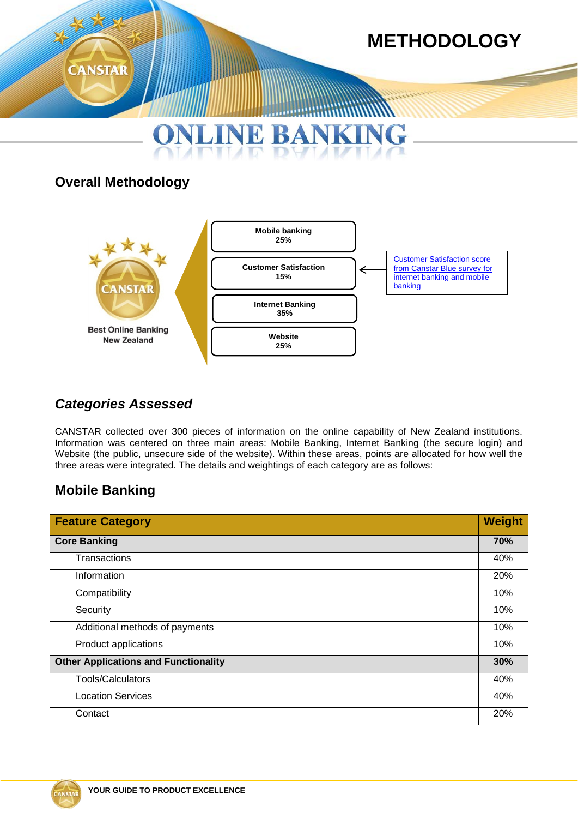

# **Overall Methodology**



# *Categories Assessed*

CANSTAR collected over 300 pieces of information on the online capability of New Zealand institutions. Information was centered on three main areas: Mobile Banking, Internet Banking (the secure login) and Website (the public, unsecure side of the website). Within these areas, points are allocated for how well the three areas were integrated. The details and weightings of each category are as follows:

# **Mobile Banking**

| <b>Feature Category</b>                     | <b>Weight</b> |
|---------------------------------------------|---------------|
| <b>Core Banking</b>                         | 70%           |
| Transactions                                | 40%           |
| Information                                 | 20%           |
| Compatibility                               | 10%           |
| Security                                    | 10%           |
| Additional methods of payments              | 10%           |
| Product applications                        | 10%           |
| <b>Other Applications and Functionality</b> | 30%           |
| Tools/Calculators                           | 40%           |
| <b>Location Services</b>                    | 40%           |
| Contact                                     | 20%           |

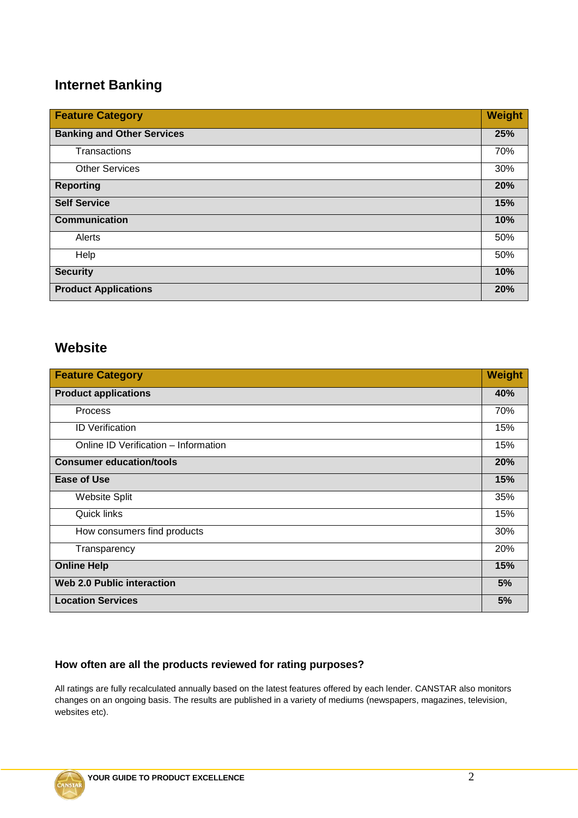# **Internet Banking**

| <b>Feature Category</b>           | Weight |
|-----------------------------------|--------|
| <b>Banking and Other Services</b> | 25%    |
| Transactions                      | 70%    |
| <b>Other Services</b>             | 30%    |
| <b>Reporting</b>                  | 20%    |
| <b>Self Service</b>               | 15%    |
| <b>Communication</b>              | 10%    |
| Alerts                            | 50%    |
| Help                              | 50%    |
| <b>Security</b>                   | 10%    |
| <b>Product Applications</b>       | 20%    |

## **Website**

| <b>Feature Category</b>              | Weight |
|--------------------------------------|--------|
| <b>Product applications</b>          | 40%    |
| <b>Process</b>                       | 70%    |
| <b>ID Verification</b>               | 15%    |
| Online ID Verification - Information | 15%    |
| <b>Consumer education/tools</b>      | 20%    |
| Ease of Use                          | 15%    |
| <b>Website Split</b>                 | 35%    |
| <b>Quick links</b>                   | 15%    |
| How consumers find products          | 30%    |
| Transparency                         | 20%    |
| <b>Online Help</b>                   | 15%    |
| <b>Web 2.0 Public interaction</b>    | 5%     |
| <b>Location Services</b>             | 5%     |

### **How often are all the products reviewed for rating purposes?**

All ratings are fully recalculated annually based on the latest features offered by each lender. CANSTAR also monitors changes on an ongoing basis. The results are published in a variety of mediums (newspapers, magazines, television, websites etc).